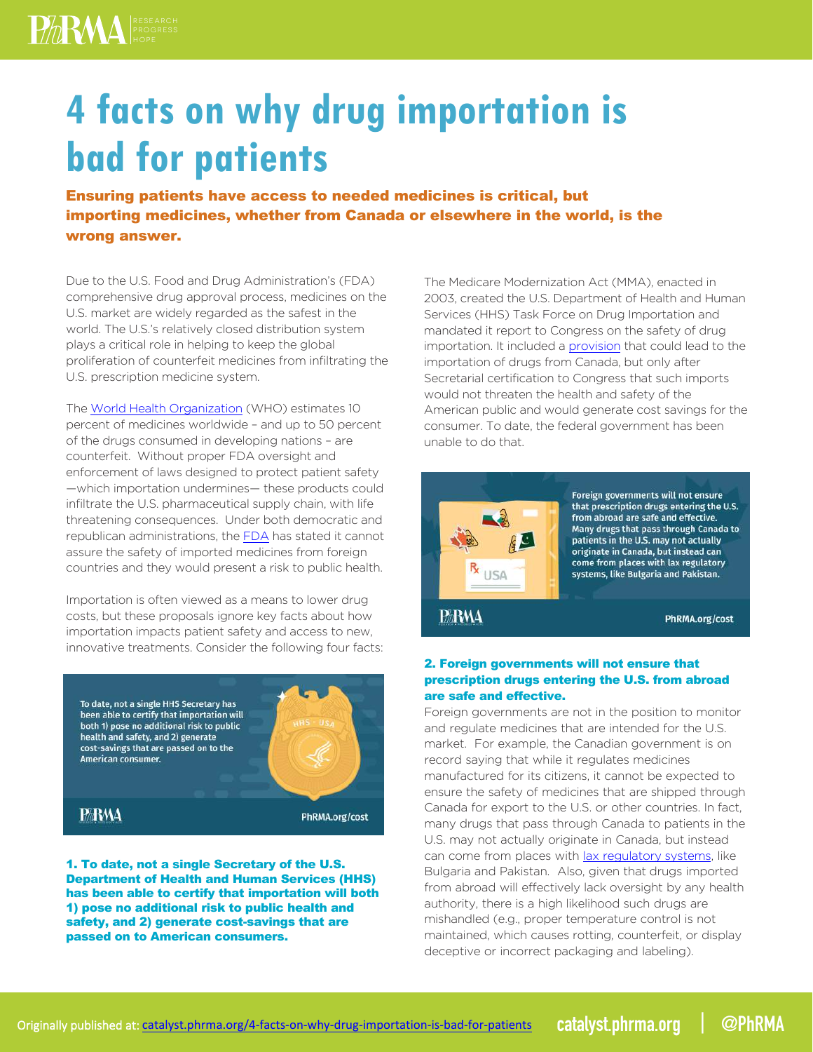**4 facts on why drug importation is bad for patients**

Ensuring patients have access to needed medicines is critical, but importing medicines, whether from Canada or elsewhere in the world, is the wrong answer.

Due to the U.S. Food and Drug Administration's (FDA) comprehensive drug approval process, medicines on the U.S. market are widely regarded as the safest in the world. The U.S.'s relatively closed distribution system plays a critical role in helping to keep the global proliferation of counterfeit medicines from infiltrating the U.S. prescription medicine system.

The [World Health Organization \(WHO\)](http://www.who.int/mediacentre/factsheets/fs275/en/) estimates 10 percent of medicines worldwide – and up to 50 percent of the drugs consumed in developing nations – are counterfeit. Without proper FDA oversight and enforcement of laws designed to protect patient safety —which importation undermines— these products could infiltrate the U.S. pharmaceutical supply chain, with life threatening consequences. Under both democratic and republican administrations, th[e FDA ha](http://www.fda.gov/NewsEvents/Testimony/ucm113635.htm)s stated it cannot assure the safety of imported medicines from foreign countries and they would present a risk to public health.

Importation is often viewed as a means to lower drug costs, but these proposals ignore key facts about how importation impacts patient safety and access to new, innovative treatments. Consider the following four facts:



1. To date, not a single Secretary of the U.S. Department of Health and Human Services (HHS) has been able to certify that importation will both 1) pose no additional risk to public health and safety, and 2) generate cost-savings that are passed on to American consumers.

The Medicare Modernization Act (MMA), enacted in 2003, created the U.S. Department of Health and Human Services (HHS) Task Force on Drug Importation and mandated it report to Congress on the safety of drug importation. It included [a provision th](http://archive.hhs.gov/importtaskforce/Report1220.pdf)at could lead to the importation of drugs from Canada, but only after Secretarial certification to Congress that such imports would not threaten the health and safety of the American public and would generate cost savings for the consumer. To date, the federal government has been unable to do that.



Foreign governments will not ensure that prescription drugs entering the U.S. from abroad are safe and effective Many drugs that pass through Canada to patients in the U.S. may not actually originate in Canada, but instead can come from places with lax regulatory systems, like Bulgaria and Pakistan.

**PARMA** 

PhRMA.org/cost

## 2. Foreign governments will not ensure that prescription drugs entering the U.S. from abroad are safe and effective.

Foreign governments are not in the position to monitor and regulate medicines that are intended for the U.S. market. For example, the Canadian government is on record saying that while it regulates medicines manufactured for its citizens, it cannot be expected to ensure the safety of medicines that are shipped through Canada for export to the U.S. or other countries. In fact, many drugs that pass through Canada to patients in the U.S. may not actually originate in Canada, but instead can come from places wi[th lax regulatory systems,](http://www.nytimes.com/2003/10/30/business/big-sales-of-cut-rate-drugs-from-canada.html) like Bulgaria and Pakistan. Also, given that drugs imported from abroad will effectively lack oversight by any health authority, there is a high likelihood such drugs are mishandled (e.g., proper temperature control is not maintained, which causes rotting, counterfeit, or display deceptive or incorrect packaging and labeling).